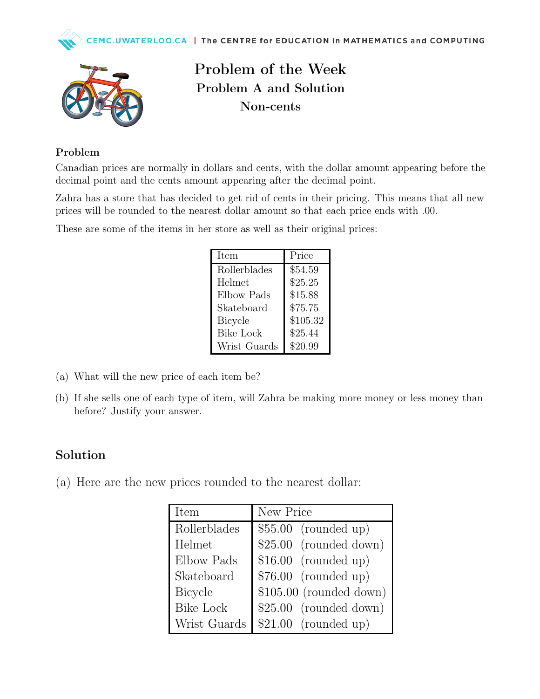



Problem of the Week Problem A and Solution Non-cents

## Problem

Canadian prices are normally in dollars and cents, with the dollar amount appearing before the decimal point and the cents amount appearing after the decimal point.

Zahra has a store that has decided to get rid of cents in their pricing. This means that all new prices will be rounded to the nearest dollar amount so that each price ends with .00.

These are some of the items in her store as well as their original prices:

| Item             | Price    |
|------------------|----------|
| Rollerblades     | \$54.59  |
| Helmet           | \$25.25  |
| Elbow Pads       | \$15.88  |
| Skateboard       | \$75.75  |
| <b>Bicycle</b>   | \$105.32 |
| <b>Bike Lock</b> | \$25.44  |
| Wrist Guards     | \$20.99  |

- (a) What will the new price of each item be?
- (b) If she sells one of each type of item, will Zahra be making more money or less money than before? Justify your answer.

## Solution

(a) Here are the new prices rounded to the nearest dollar:

| <b>Item</b>      | New Price                |
|------------------|--------------------------|
| Rollerblades     | $$55.00$ (rounded up)    |
| Helmet           | $$25.00$ (rounded down)  |
| Elbow Pads       | $$16.00$ (rounded up)    |
| Skateboard       | $$76.00$ (rounded up)    |
| Bicycle          | $$105.00$ (rounded down) |
| <b>Bike Lock</b> | $$25.00$ (rounded down)  |
| Wrist Guards     | $$21.00$ (rounded up)    |